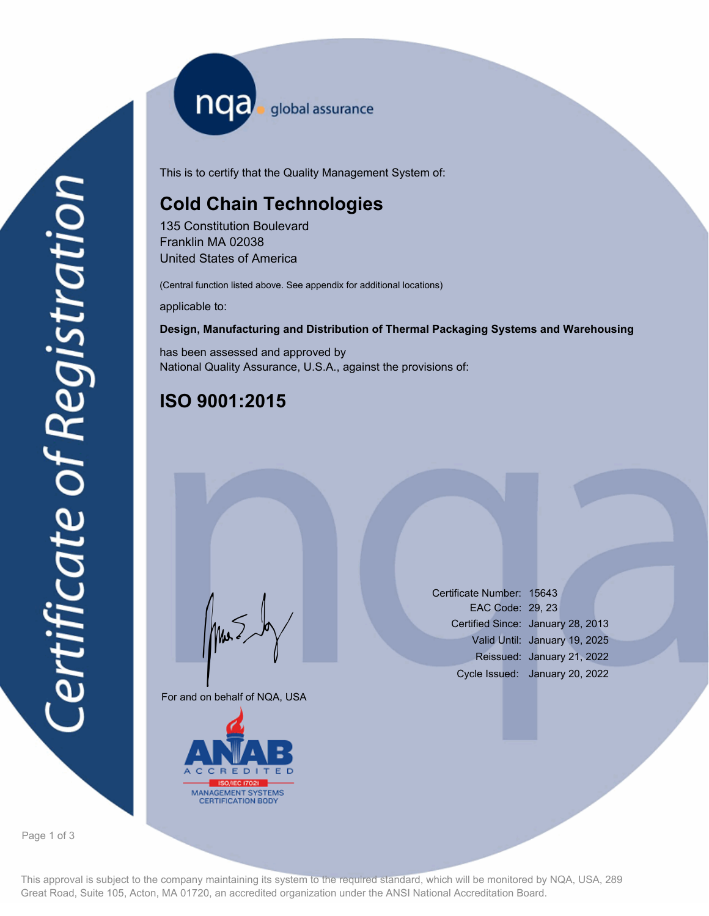nqa <sub>global</sub> assurance

This is to certify that the Quality Management System of:

# **Cold Chain Technologies**

135 Constitution Boulevard Franklin MA 02038 United States of America

(Central function listed above. See appendix for additional locations)

applicable to:

### **Design, Manufacturing and Distribution of Thermal Packaging Systems and Warehousing**

has been assessed and approved by National Quality Assurance, U.S.A., against the provisions of:

## **ISO 9001:2015**

For and on behalf of NQA, USA

Mus



Certificate Number: 15643 EAC Code: 29, 23 Certified Since: January 28, 2013 Valid Until: January 19, 2025 Reissued: January 21, 2022 Cycle Issued: January 20, 2022

Page 1 of 3

This approval is subject to the company maintaining its system to the required standard, which will be monitored by NQA, USA, 289 Great Road, Suite 105, Acton, MA 01720, an accredited organization under the ANSI National Accreditation Board.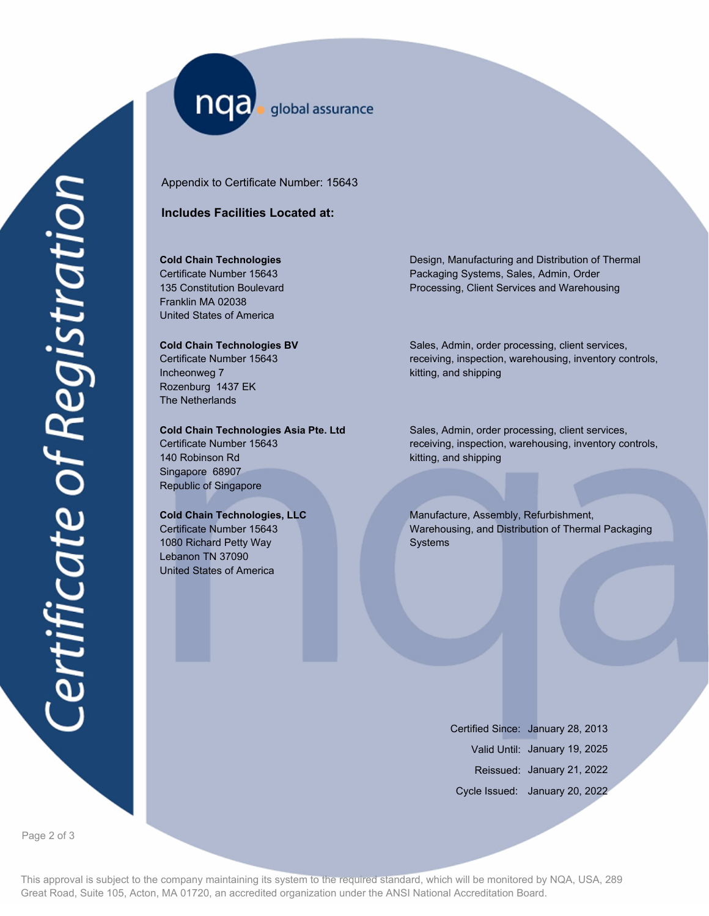nqa global assurance

Appendix to Certificate Number: 15643

## **Includes Facilities Located at:**

## **Cold Chain Technologies**

Certificate Number 15643 135 Constitution Boulevard Franklin MA 02038 United States of America

#### **Cold Chain Technologies BV**

Certificate Number 15643 Incheonweg 7 Rozenburg 1437 EK The Netherlands

#### **Cold Chain Technologies Asia Pte. Ltd**

Certificate Number 15643 140 Robinson Rd Singapore 68907 Republic of Singapore

#### **Cold Chain Technologies, LLC**

Certificate Number 15643 1080 Richard Petty Way Lebanon TN 37090 United States of America

Design, Manufacturing and Distribution of Thermal Packaging Systems, Sales, Admin, Order Processing, Client Services and Warehousing

Sales, Admin, order processing, client services, receiving, inspection, warehousing, inventory controls, kitting, and shipping

Sales, Admin, order processing, client services, receiving, inspection, warehousing, inventory controls, kitting, and shipping

Manufacture, Assembly, Refurbishment, Warehousing, and Distribution of Thermal Packaging Systems

> Certified Since: January 28, 2013 Valid Until: January 19, 2025 Reissued: January 21, 2022 Cycle Issued: January 20, 2022

Page 2 of 3

This approval is subject to the company maintaining its system to the required standard, which will be monitored by NQA, USA, 289 Great Road, Suite 105, Acton, MA 01720, an accredited organization under the ANSI National Accreditation Board.